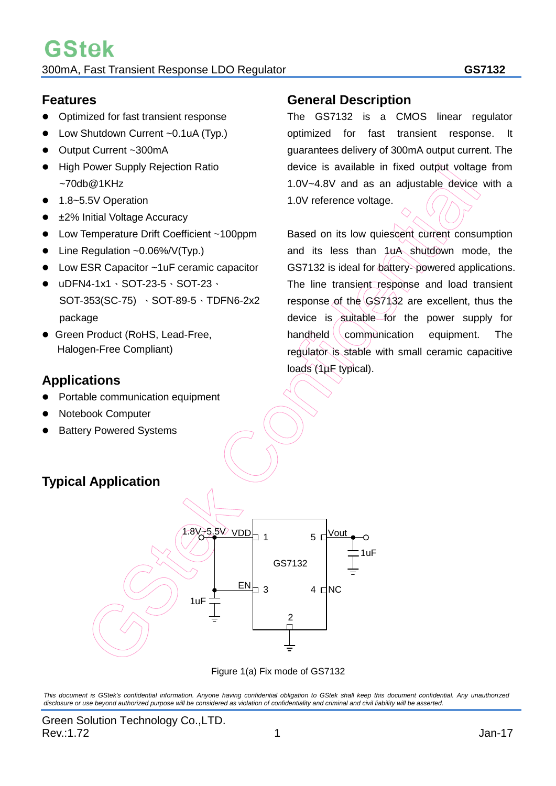#### **Features**

- Optimized for fast transient response
- Low Shutdown Current ~0.1uA (Typ.)
- Output Current ~300mA
- High Power Supply Rejection Ratio  $~1$ KHz
- 1.8~5.5V Operation
- ±2% Initial Voltage Accuracy
- Low Temperature Drift Coefficient ~100ppm
- Line Regulation ~0.06%/V(Typ.)
- Low ESR Capacitor ~1uF ceramic capacitor
- uDFN4-1x1、SOT-23-5、SOT-23、 SOT-353(SC-75) 、SOT-89-5、TDFN6-2x2 package
- **Green Product (RoHS, Lead-Free,** Halogen-Free Compliant)

## **Applications**

- Portable communication equipment
- Notebook Computer
- Battery Powered Systems

#### **General Description**

The GS7132 is a CMOS linear regulator optimized for fast transient response. It guarantees delivery of 300mA output current. The device is available in fixed output voltage from 1.0V~4.8V and as an adjustable device with a 1.0V reference voltage.

Based on its low quiescent current consumption and its less than 1uA shutdown mode, the GS7132 is ideal for battery- powered applications. The line transient response and load transient response of the GS7132 are excellent, thus the device is suitable for the power supply for handheld  $\sqrt{c}$  communication equipment. The regulator is stable with small ceramic capacitive loads (1µF typical).

## **Typical Application**



Figure 1(a) Fix mode of GS7132

*This document is GStek's confidential information. Anyone having confidential obligation to GStek shall keep this document confidential. Any unauthorized disclosure or use beyond authorized purpose will be considered as violation of confidentiality and criminal and civil liability will be asserted.*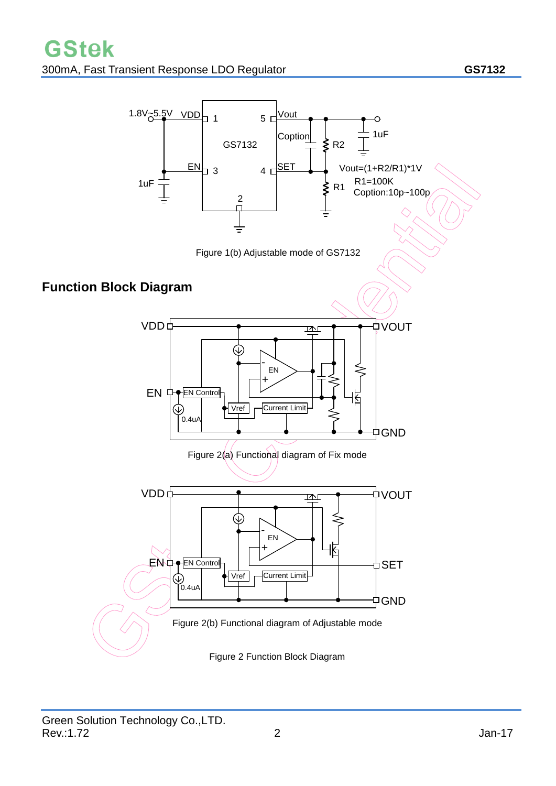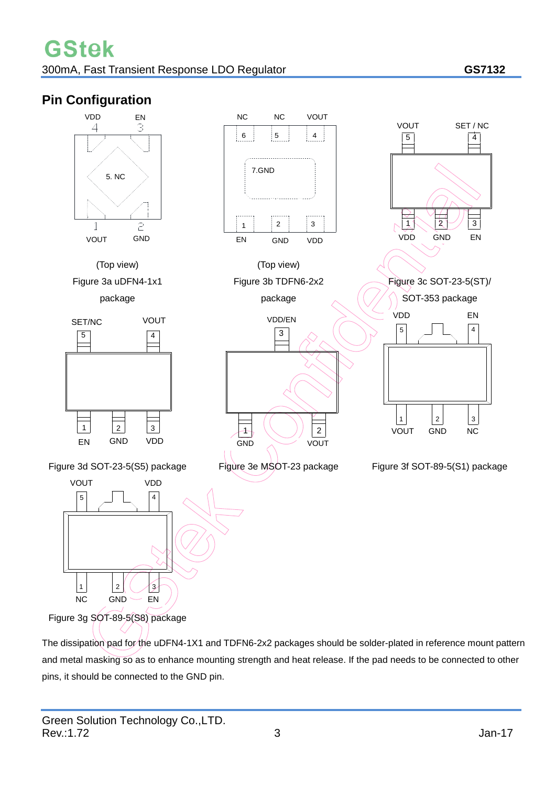## **Pin Configuration**



The dissipation pad for the uDFN4-1X1 and TDFN6-2x2 packages should be solder-plated in reference mount pattern and metal masking so as to enhance mounting strength and heat release. If the pad needs to be connected to other pins, it should be connected to the GND pin.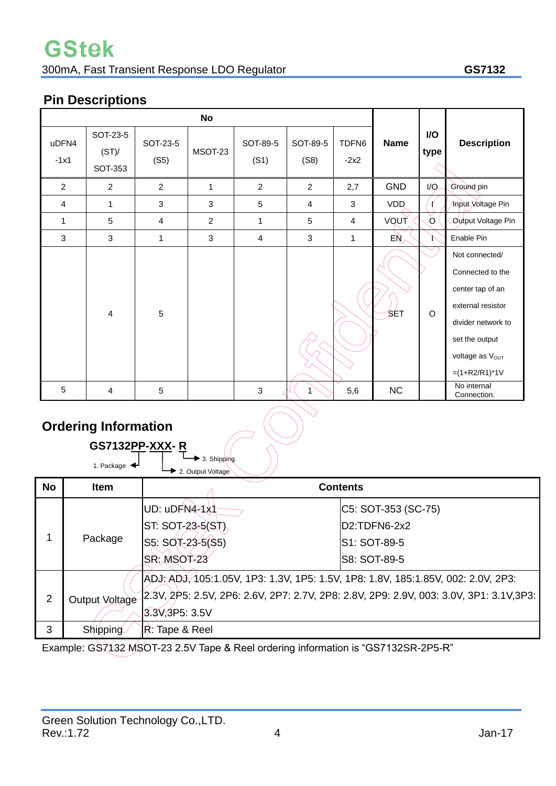## **GStek** 300mA, Fast Transient Response LDO Regulator **GS7132**

## **Pin Descriptions**

| <b>No</b>       |                                     |                  |                |                  |                  |                 |             |             |                                                                                                                                                            |
|-----------------|-------------------------------------|------------------|----------------|------------------|------------------|-----------------|-------------|-------------|------------------------------------------------------------------------------------------------------------------------------------------------------------|
| uDFN4<br>$-1x1$ | SOT-23-5<br>(ST)/<br><b>SOT-353</b> | SOT-23-5<br>(S5) | MSOT-23        | SOT-89-5<br>(S1) | SOT-89-5<br>(S8) | TDFN6<br>$-2x2$ | <b>Name</b> | I/O<br>type | <b>Description</b>                                                                                                                                         |
| $\overline{2}$  | $\overline{2}$                      | $\overline{2}$   | $\mathbf{1}$   | $\overline{2}$   | $\overline{2}$   | 2,7             | <b>GND</b>  | I/O         | Ground pin                                                                                                                                                 |
| $\overline{4}$  | $\mathbf{1}$                        | 3                | 3              | 5                | $\overline{4}$   | 3               | VDD.        |             | Input Voltage Pin                                                                                                                                          |
| 1               | 5                                   | 4                | $\overline{c}$ | 1                | 5                | 4               | VQUT        | $\circ$     | Output Voltage Pin                                                                                                                                         |
| 3               | 3                                   | $\mathbf{1}$     | 3              | $\overline{4}$   | 3                | 1               | EÑ,         |             | Enable Pin                                                                                                                                                 |
|                 | 4                                   | 5                |                |                  |                  |                 | ′SET        | O           | Not connected/<br>Connected to the<br>center tap of an<br>external resistor<br>divider network to<br>set the output<br>voltage as Vout<br>$=(1+R2/R1)^*1V$ |
| 5               | 4                                   | 5                |                | 3                | 1                | 5,6             | NC          |             | No internal<br>Connection.                                                                                                                                 |

## **Ordering Information**

|           | <b>Ordering Information</b><br><b>GS7132PP-XXX-R</b><br>▶ 3. Shipping |                                                                                                     |                                                                                               |  |  |  |  |  |  |
|-----------|-----------------------------------------------------------------------|-----------------------------------------------------------------------------------------------------|-----------------------------------------------------------------------------------------------|--|--|--|--|--|--|
| <b>No</b> | 1. Package $\blacktriangleleft$<br><b>Item</b>                        | 2. Output Voltage                                                                                   | <b>Contents</b>                                                                               |  |  |  |  |  |  |
|           | Package                                                               | UD: uDFN4-1x1<br>$ST:$ SOT-23-5(ST)<br>S5: SOT-23-5(\$5)<br>SR: MSOT-23                             | C5: SOT-353 (SC-75)<br>D <sub>2</sub> :TDFN <sub>6</sub> -2x2<br>S1: SOT-89-5<br>S8: SOT-89-5 |  |  |  |  |  |  |
| 2         | <b>Output Voltage</b>                                                 | ADJ: ADJ, 105:1.05V, 1P3: 1.3V, 1P5: 1.5V, 1P8: 1.8V, 185:1.85V, 002: 2.0V, 2P3:<br>3.3V, 3P5: 3.5V | 2.3V, 2P5: 2.5V, 2P6: 2.6V, 2P7: 2.7V, 2P8: 2.8V, 2P9: 2.9V, 003: 3.0V, 3P1: 3.1V, 3P3:       |  |  |  |  |  |  |
| 3         | <b>Shipping</b>                                                       | R: Tape & Reel                                                                                      |                                                                                               |  |  |  |  |  |  |

Example: GS7132 MSOT-23 2.5V Tape & Reel ordering information is "GS7132SR-2P5-R"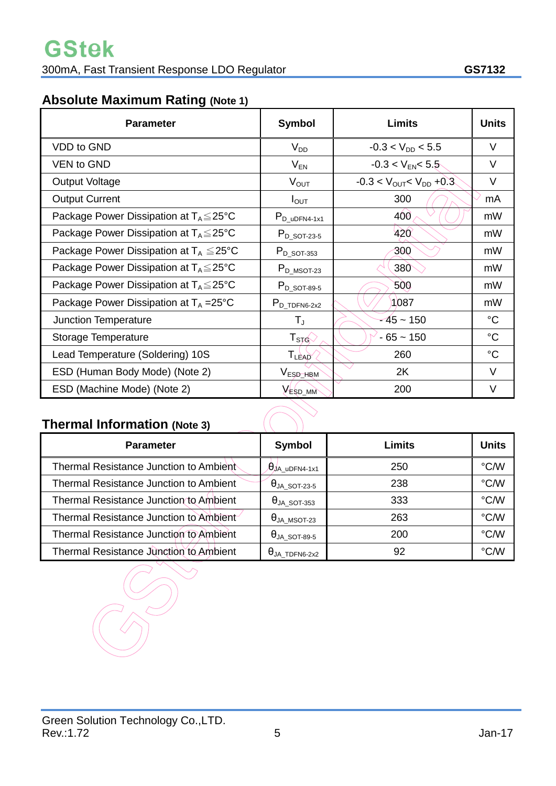## **Absolute Maximum Rating (Note 1)**

| <b>Parameter</b>                                    | <b>Symbol</b>         | <b>Limits</b>                                 | <b>Units</b> |
|-----------------------------------------------------|-----------------------|-----------------------------------------------|--------------|
| <b>VDD</b> to GND                                   | $V_{DD}$              | $-0.3 < V_{DD} < 5.5$                         | $\vee$       |
| <b>VEN to GND</b>                                   | $V_{EN}$              | $-0.3 < V_{EN} < 5.5$                         | V            |
| <b>Output Voltage</b>                               | $V_{OUT}$             | $-0.3 < V_{\text{OUT}} < V_{\text{DD}} + 0.3$ | $\vee$       |
| <b>Output Current</b>                               | $I_{\text{OUT}}$      | 300                                           | mA           |
| Package Power Dissipation at $T_A \leq 25^{\circ}C$ | $P_{D_{u}U}$ DFN4-1x1 | 400                                           | mW           |
| Package Power Dissipation at $T_A \leq 25^{\circ}C$ | $P_{D_5QT-23-5}$      | 420                                           | mW           |
| Package Power Dissipation at $T_A \leq 25^{\circ}C$ | $P_{D_5QT-353}$       | 300                                           | mW           |
| Package Power Dissipation at $T_A \leq 25^{\circ}C$ | $P_{D_MSOT-23}$       | 380                                           | mW           |
| Package Power Dissipation at $T_A \leq 25^{\circ}C$ | $P_{D}$ sot-89-5      | 500                                           | mW           |
| Package Power Dissipation at $T_A = 25^{\circ}C$    | $P_{D_TDPN6-2x2}$     | 1087                                          | mW           |
| Junction Temperature                                | $T_{J}$               | $-45 - 150$                                   | $^{\circ}C$  |
| Storage Temperature                                 | $T_{STG}$             | $-65 - 150$                                   | $^{\circ}C$  |
| Lead Temperature (Soldering) 10S                    | <b>TLEAD</b>          | 260                                           | $^{\circ}C$  |
| ESD (Human Body Mode) (Note 2)                      | V <sub>ESD_HRM</sub>  | 2K                                            | V            |
| ESD (Machine Mode) (Note 2)                         | VESD_MM               | 200                                           | V            |

## **Thermal Information (Note 3)**

| <b>Parameter</b>                              | Symbol                              | Limits | <b>Units</b> |
|-----------------------------------------------|-------------------------------------|--------|--------------|
| Thermal Resistance Junction to Ambient        | $\theta$ JA_uDFN4-1x1               | 250    | °C/W         |
| <b>Thermal Resistance Junction to Ambient</b> | $\Theta$ ja_sot-23-5                | 238    | °C/W         |
| Thermal Resistance Junction to Ambient        | $\Theta$ ja_sot-353                 | 333    | °C/W         |
| Thermal Resistance Junction to Ambient        | $\Theta$ ja_msot-23                 | 263    | °C/W         |
| Thermal Resistance Junction to Ambient        | $\Theta$ ja_sot-89-5                | 200    | °C/W         |
| Thermal Resistance Junction to Ambient        | $\theta_{\sf JA\_TDFN6\text{-}2x2}$ | 92     | °C/W         |

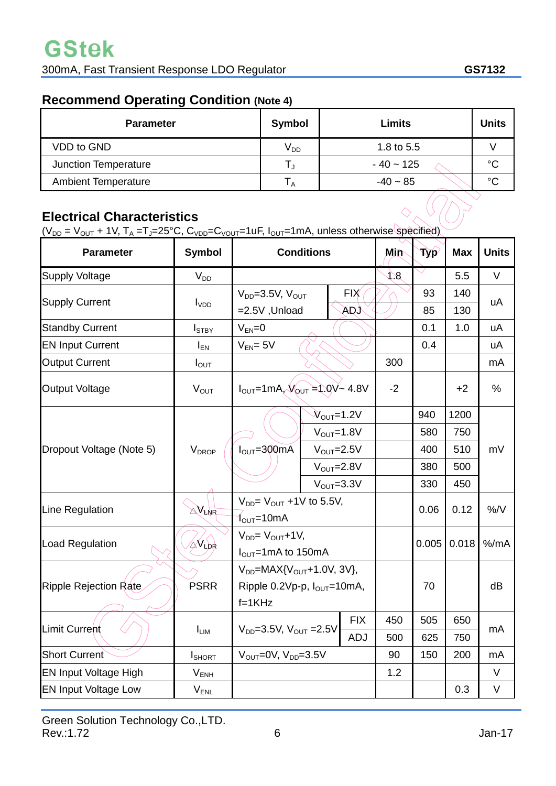## **Recommend Operating Condition (Note 4)**

| <b>Parameter</b>           | Symbol                     | <b>Limits</b> | <b>Units</b> |
|----------------------------|----------------------------|---------------|--------------|
| <b>VDD to GND</b>          | $\mathsf{V}_{\mathsf{DD}}$ | 1.8 to 5.5    |              |
| Junction Temperature       |                            | $-40 - 125$   | $^{\circ}C$  |
| <b>Ambient Temperature</b> | ∣ A                        | $-40 - 85$    | $^{\circ}C$  |

### **Electrical Characteristics**

 $(V_{DD} = V_{OUT} + 1V, T_A = T_J = 25°C, C_{VDD} = C_{VOUT} = 1uF, I_{OUT} = 1mA, unless otherwise specified)$ 

| <b>Parameter</b>             | <b>Symbol</b>                 | <b>Conditions</b>                                           |                                  | Min        | <b>Typ</b> | <b>Max</b> | <b>Units</b> |    |  |
|------------------------------|-------------------------------|-------------------------------------------------------------|----------------------------------|------------|------------|------------|--------------|----|--|
| <b>Supply Voltage</b>        | $V_{DD}$                      |                                                             |                                  | J 8        |            | 5.5        | $\vee$       |    |  |
| <b>Supply Current</b>        |                               | $V_{DD} = 3.5V, V_{OUT}$                                    |                                  | <b>FIX</b> |            | 93         | 140          | uA |  |
|                              | $I_{VDD}$                     | $=2.5V$ , Unload                                            |                                  | (QA        |            | 85         | 130          |    |  |
| <b>Standby Current</b>       | I <sub>STBY</sub>             | $V_{EN} = 0$                                                |                                  |            |            | 0.1        | 1.0          | uA |  |
| <b>EN Input Current</b>      | $I_{EN}$                      | $V_{EN} = 5V$                                               |                                  |            | 0.4        |            | uA           |    |  |
| <b>Output Current</b>        | $I_{\text{OUT}}$              |                                                             |                                  | 300        |            |            | mA           |    |  |
| <b>Output Voltage</b>        | <b>VOUT</b>                   | $I_{OUT} = 1mA, V_{OUT} = 1.0V - 4.8V$                      |                                  | $-2$       |            | $+2$       | $\%$         |    |  |
|                              |                               |                                                             | $\mathcal{N}_{\text{OUT}}$ =1.2V |            |            | 940        | 1200         |    |  |
|                              | $V_{DROP}$                    |                                                             | $V_{\text{OUT}}=1.8V$            |            |            | 580        | 750          |    |  |
| Dropout Voltage (Note 5)     |                               | $IOUT=300mA$                                                | $V_{\text{OUT}}=2.5V$            |            |            | 400        | 510          | mV |  |
|                              |                               |                                                             | $V_{\text{OUT}}=2.8V$            |            | 380        |            | 500          |    |  |
|                              |                               |                                                             | $V_{\text{OUT}} = 3.3V$          |            |            | 330        | 450          |    |  |
| Line Regulation              | $\mathbb{A}$ V <sub>LNR</sub> | $V_{DD} = V_{OUT} + 1V$ to 5.5V,                            |                                  |            | 0.06       | 0.12       | %/V          |    |  |
|                              |                               | $1_{\text{OUT}}$ =10mA                                      |                                  |            |            |            |              |    |  |
| Load Regulation              | <b>XVLDR</b>                  | $V_{DD} = V_{OUT} + 1V$ ,<br>$I_{\text{OUT}}$ =1mA to 150mA |                                  |            | 0.005      | 0.018      | $%$ /mA      |    |  |
|                              |                               | $V_{DD}$ =MAX{ $V_{OUT}$ +1.0V, 3V},                        |                                  |            | 70         |            | dB           |    |  |
| Ripple Rejection Rate        | <b>PSRR</b>                   | Ripple 0.2Vp-p, $I_{OUT}$ =10mA,                            |                                  |            |            |            |              |    |  |
|                              |                               | $f=1KHz$                                                    |                                  |            |            |            |              |    |  |
|                              | <b>LIM</b>                    |                                                             |                                  | <b>FIX</b> | 450        | 505        | 650          |    |  |
| <b>Limit Current</b>         |                               | $V_{DD} = 3.5V$ , $V_{OUT} = 2.5V$                          |                                  | <b>ADJ</b> | 500        | 625        | 750          | mA |  |
| <b>Short Current</b>         | <b>I</b> SHORT                | $V_{OUT} = 0V$ , $V_{DD} = 3.5V$                            |                                  | 90         | 150        | 200        | mA           |    |  |
| <b>EN Input Voltage High</b> | $V_{ENH}$                     |                                                             |                                  | 1.2        |            |            | $\vee$       |    |  |
| <b>EN Input Voltage Low</b>  | $V_{ENL}$                     |                                                             |                                  |            |            | 0.3        | V            |    |  |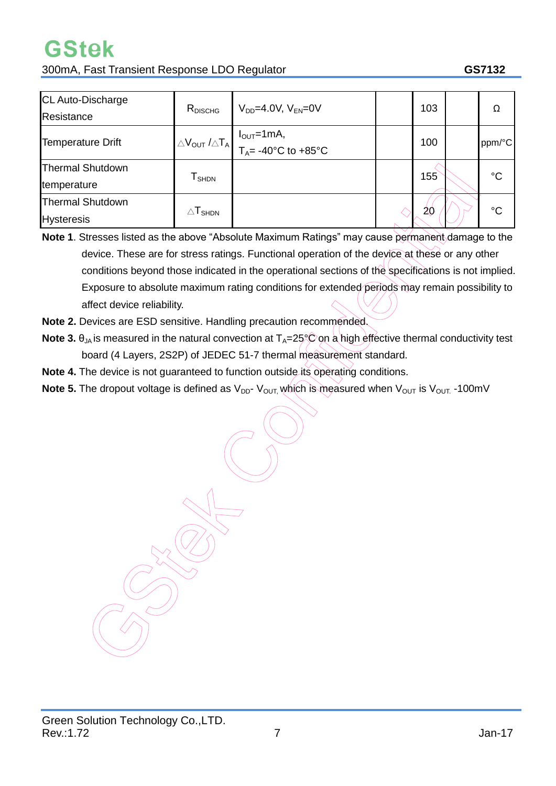# **GStek**

300mA, Fast Transient Response LDO Regulator **GS7132**

| CL Auto-Discharge<br>Resistance              | $R_{DISCHG}$                          | $V_{DD} = 4.0 V$ , $V_{EN} = 0 V$                                                                                                                                                | 103 | Ω           |
|----------------------------------------------|---------------------------------------|----------------------------------------------------------------------------------------------------------------------------------------------------------------------------------|-----|-------------|
| Temperature Drift                            |                                       | $\Delta V_{\text{OUT}}$ / $\Delta T_{\text{A}}$ $\begin{bmatrix} I_{\text{OUT}}=1 \text{mA}, \\ T_{\text{A}}= -40^{\circ}\text{C} \text{ to } +85^{\circ}\text{C} \end{bmatrix}$ | 100 | ppm/°C      |
| <b>Thermal Shutdown</b><br>temperature       | ${\mathsf T}_{\textsf{SHDN}}$         |                                                                                                                                                                                  | 155 | $^{\circ}C$ |
| <b>Thermal Shutdown</b><br><b>Hysteresis</b> | $\triangle\mathsf{T}_{\mathsf{SHDN}}$ |                                                                                                                                                                                  | 20  | $^{\circ}C$ |

**Note 1**. Stresses listed as the above "Absolute Maximum Ratings" may cause permanent damage to the device. These are for stress ratings. Functional operation of the device at these or any other conditions beyond those indicated in the operational sections of the specifications is not implied. Exposure to absolute maximum rating conditions for extended periods may remain possibility to affect device reliability.

- **Note 2.** Devices are ESD sensitive. Handling precaution recommended.
- **Note 3.**  $\theta_{JA}$  is measured in the natural convection at  $T_A=25^\circ\text{C}$  on a high effective thermal conductivity test board (4 Layers, 2S2P) of JEDEC 51-7 thermal measurement standard.
- **Note 4.** The device is not guaranteed to function outside its operating conditions.
- **Note 5.** The dropout voltage is defined as V<sub>DD</sub>-V<sub>OUT,</sub> which is measured when V<sub>OUT</sub> is V<sub>OUT.</sub> -100mV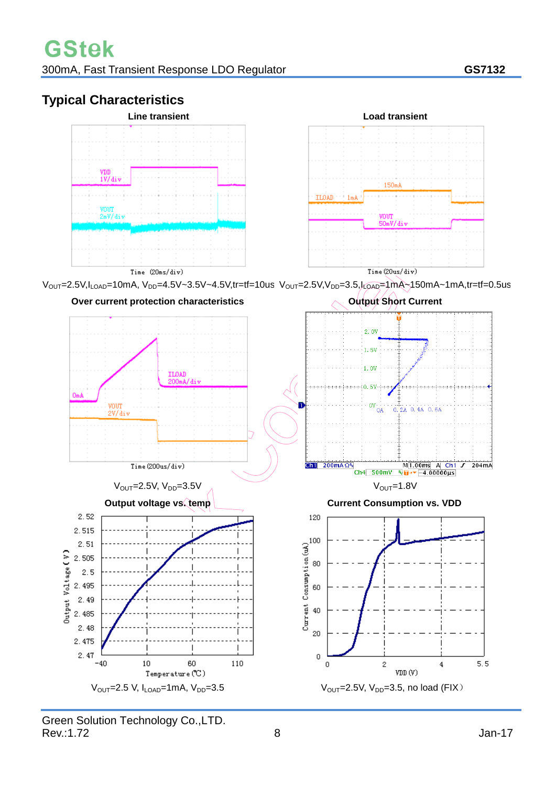## **Typical Characteristics**





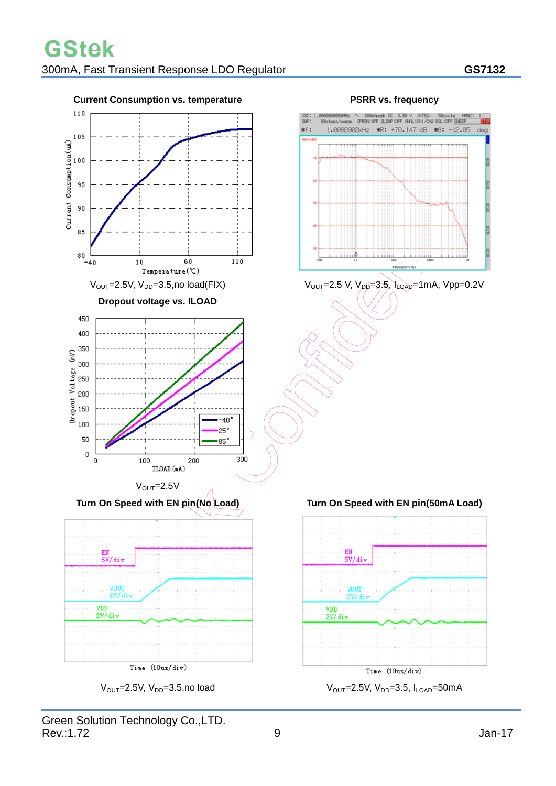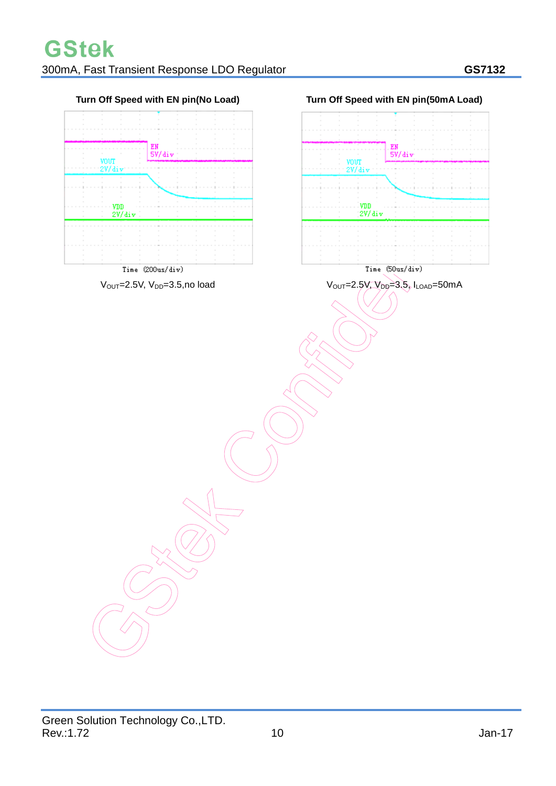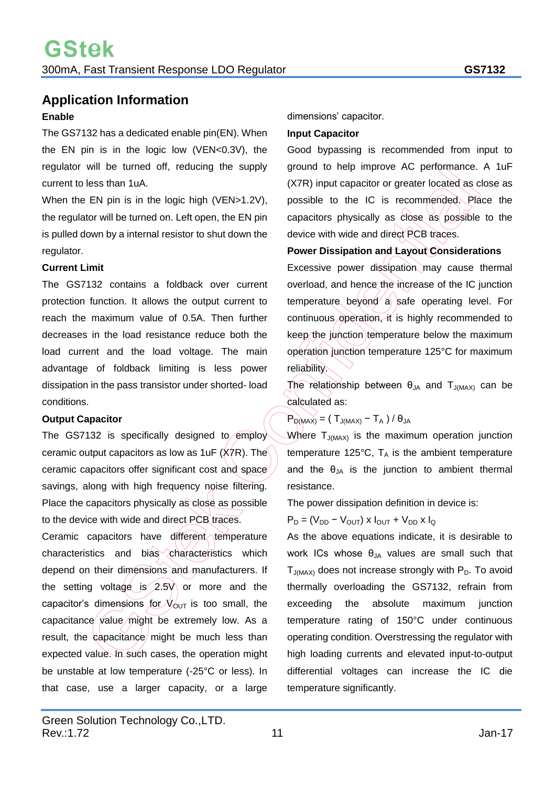## **Application Information**

#### **Enable**

The GS7132 has a dedicated enable pin(EN). When the EN pin is in the logic low (VEN<0.3V), the regulator will be turned off, reducing the supply current to less than 1uA.

When the EN pin is in the logic high (VEN>1.2V), the regulator will be turned on. Left open, the EN pin is pulled down by a internal resistor to shut down the regulator.

#### **Current Limit**

The GS7132 contains a foldback over current protection function. It allows the output current to reach the maximum value of 0.5A. Then further decreases in the load resistance reduce both the load current and the load voltage. The main advantage of foldback limiting is less power dissipation in the pass transistor under shorted- load conditions.

#### **Output Capacitor**

The GS7132 is specifically designed to employ ceramic output capacitors as low as 1uF ( $\overline{X7R}$ ). The ceramic capacitors offer significant cost and space savings, along with high frequency noise filtering. Place the capacitors physically as close as possible to the device with wide and direct PCB traces.

Ceramic capacitors have different temperature characteristics and bias characteristics which depend on their dimensions and manufacturers. If the setting voltage is  $2.5V$  or more and the capacitor's dimensions for  $V_{\text{OUT}}$  is too small, the capacitance value might be extremely low. As a result, the capacitance might be much less than expected value. In such cases, the operation might be unstable at low temperature (-25°C or less). In that case, use a larger capacity, or a large

#### **Input Capacitor**

Good bypassing is recommended from input to ground to help improve AC performance. A 1uF (X7R) input capacitor or greater located as close as possible to the IC is recommended. Place the capacitors physically as close as possible to the device with wide and direct PCB traces.

#### **Power Dissipation and Layout Considerations**

Excessive power dissipation may cause thermal overload, and hence the increase of the IC junction temperature beyond a safe operating level. For continuous operation, it is highly recommended to keep the junction temperature below the maximum operation junction temperature 125°C for maximum reliability.

The relationship between  $\theta_{JA}$  and  $T_{J(MAX)}$  can be calculated as:

#### $P_{D(MAX)} = (T_{J(MAX)} - T_A) / \theta_{JA}$

Where  $T_{J(MAX)}$  is the maximum operation junction temperature 125°C,  $T_A$  is the ambient temperature and the  $\theta_{JA}$  is the junction to ambient thermal resistance.

The power dissipation definition in device is:

 $P_D = (V_{DD} - V_{OUT}) \times I_{OUT} + V_{DD} \times I_Q$ 

As the above equations indicate, it is desirable to work ICs whose  $\theta_{JA}$  values are small such that  $T_{J(MAX)}$  does not increase strongly with  $P_D$ . To avoid thermally overloading the GS7132, refrain from exceeding the absolute maximum junction temperature rating of 150°C under continuous operating condition. Overstressing the regulator with high loading currents and elevated input-to-output differential voltages can increase the IC die temperature significantly.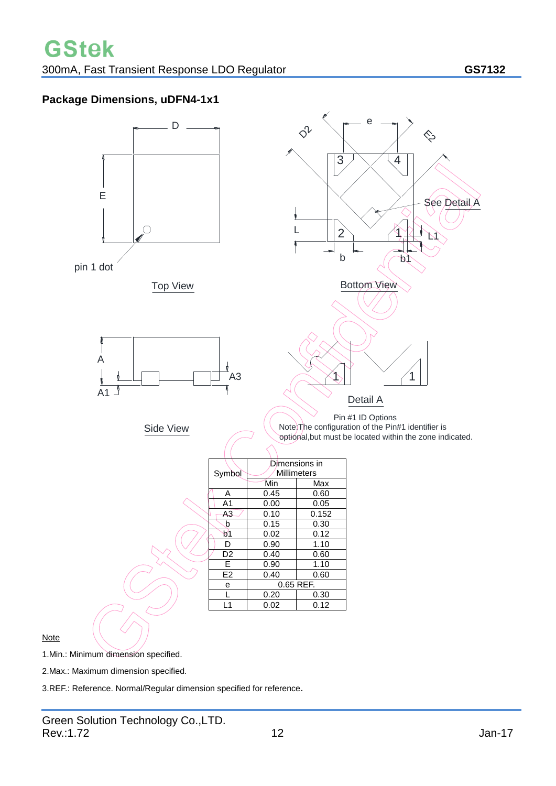### **Package Dimensions, uDFN4-1x1**



**Note** 

1.Min.: Minimum dimension specified.

2.Max.: Maximum dimension specified.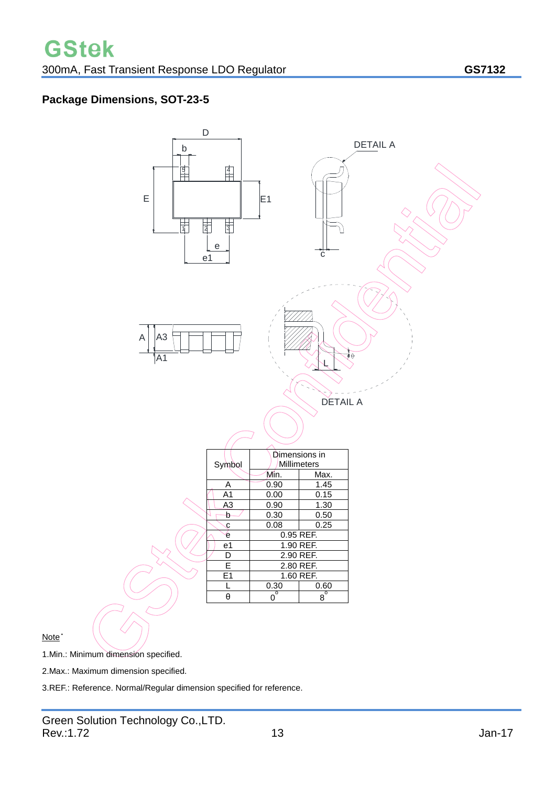## **Package Dimensions, SOT-23-5**



Note˙

1.Min.: Minimum dimension specified.

2.Max.: Maximum dimension specified.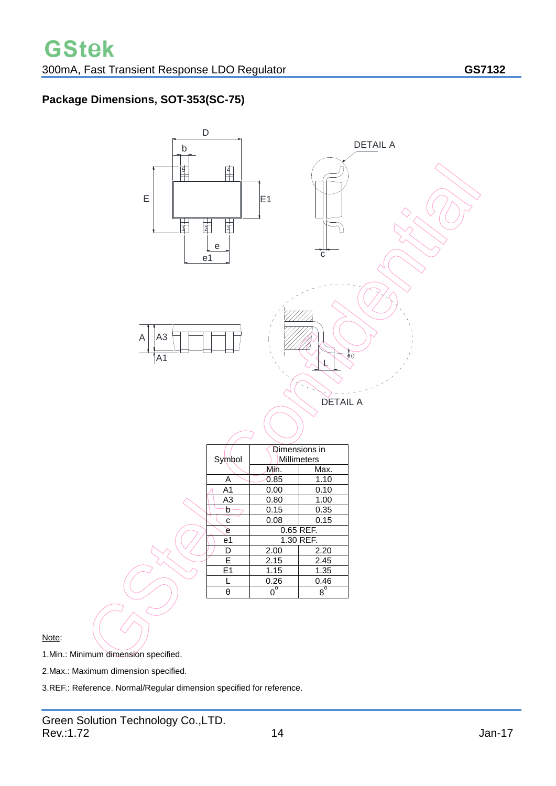#### **Package Dimensions, SOT-353(SC-75)**



Note:

1.Min.: Minimum dimension specified.

2.Max.: Maximum dimension specified.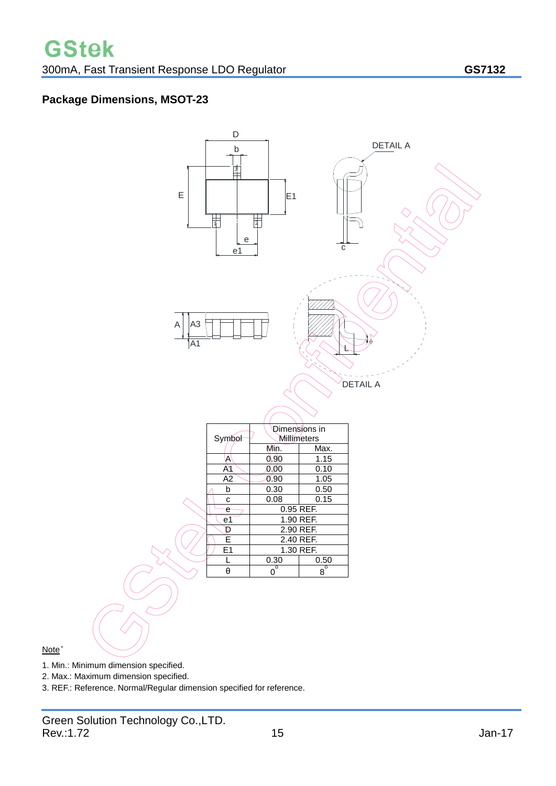#### **Package Dimensions, MSOT-23**



#### Note˙

- 1. Min.: Minimum dimension specified.
- 2. Max.: Maximum dimension specified.
- 3. REF.: Reference. Normal/Regular dimension specified for reference.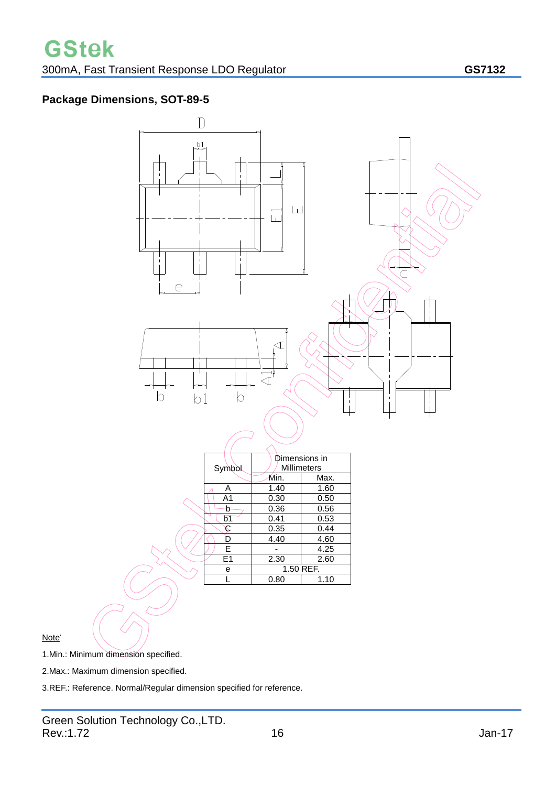#### **Package Dimensions, SOT-89-5**



Note**.**

1.Min.: Minimum dimension specified.

2.Max.: Maximum dimension specified.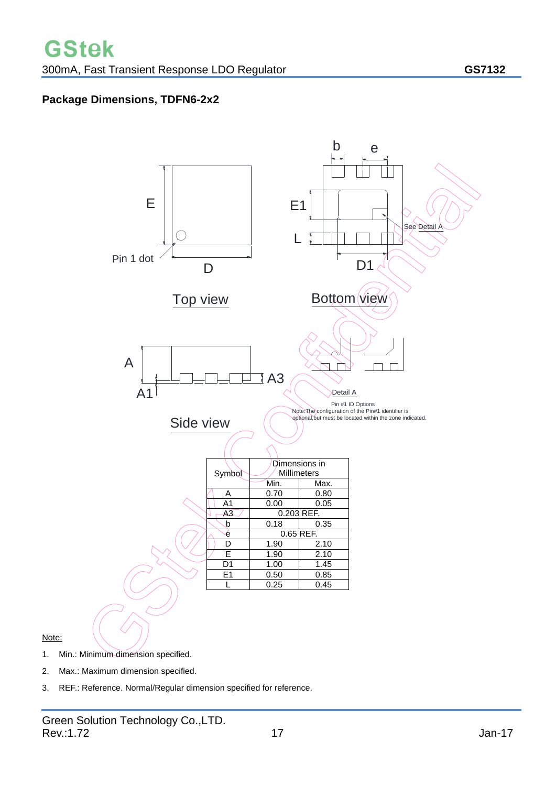#### **Package Dimensions, TDFN6-2x2**



Note:

- 1. Min.: Minimum dimension specified.
- 2. Max.: Maximum dimension specified.
- 3. REF.: Reference. Normal/Regular dimension specified for reference.